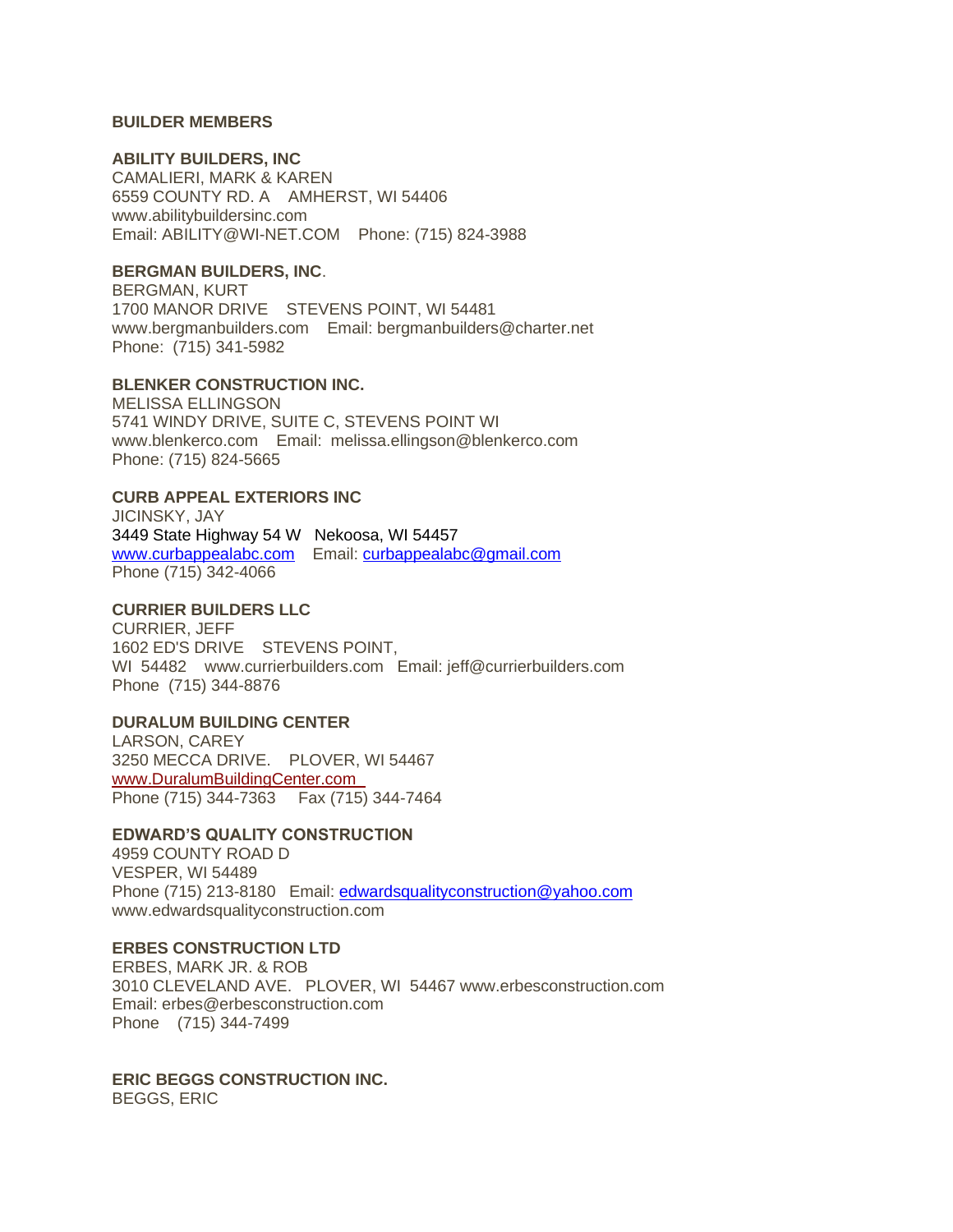### **BUILDER MEMBERS**

#### **ABILITY BUILDERS, INC**

CAMALIERI, MARK & KAREN 6559 COUNTY RD. A AMHERST, WI 54406 www.abilitybuildersinc.com Email: ABILITY@WI-NET.COM Phone: (715) 824-3988

#### **BERGMAN BUILDERS, INC**.

BERGMAN, KURT 1700 MANOR DRIVE STEVENS POINT, WI 54481 www.bergmanbuilders.com Email: bergmanbuilders@charter.net Phone: (715) 341-5982

## **BLENKER CONSTRUCTION INC.**

MELISSA ELLINGSON 5741 WINDY DRIVE, SUITE C, STEVENS POINT WI www.blenkerco.com Email: melissa.ellingson@blenkerco.com Phone: (715) 824-5665

# **CURB APPEAL EXTERIORS INC**

JICINSKY, JAY 3449 State Highway 54 W Nekoosa, WI 54457 [www.curbappealabc.com](http://www.curbappealabc.com/) Email: [curbappealabc@gmail.com](mailto:curbappealabc@gmail.com)  Phone (715) 342-4066

# **CURRIER BUILDERS LLC**

CURRIER, JEFF 1602 ED'S DRIVE STEVENS POINT, WI 54482 www.currierbuilders.com Email: jeff@currierbuilders.com Phone (715) 344-8876

## **DURALUM BUILDING CENTER**

LARSON, CAREY 3250 MECCA DRIVE. PLOVER, WI 54467 [www.DuralumBuildingCenter.com](http://www.duralumbuildingcenter.com/)  Phone (715) 344-7363 Fax (715) 344-7464

### **EDWARD'S QUALITY CONSTRUCTION**

4959 COUNTY ROAD D VESPER, WI 54489 Phone (715) 213-8180 Email: [edwardsqualityconstruction@yahoo.com](mailto:edwardsqualityconstruction@yahoo.com) www.edwardsqualityconstruction.com

### **ERBES CONSTRUCTION LTD**

ERBES, MARK JR. & ROB 3010 CLEVELAND AVE. PLOVER, WI 54467 www.erbesconstruction.com Email: erbes@erbesconstruction.com Phone (715) 344-7499

**ERIC BEGGS CONSTRUCTION INC.** BEGGS, ERIC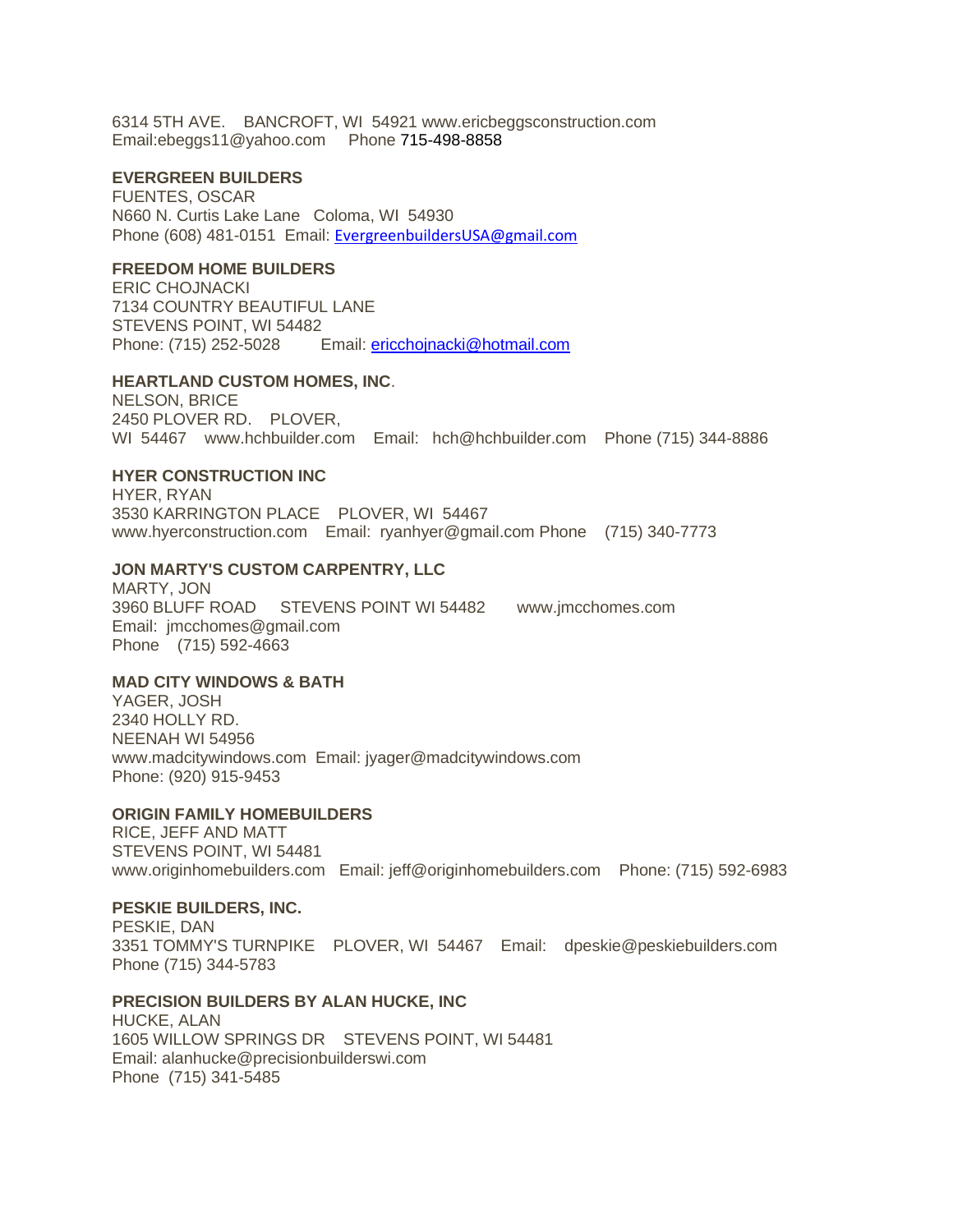6314 5TH AVE. BANCROFT, WI 54921 www.ericbeggsconstruction.com Email:ebeggs11@yahoo.com Phone 715-498-8858

#### **EVERGREEN BUILDERS**

FUENTES, OSCAR N660 N. Curtis Lake Lane Coloma, WI 54930 Phone (608) 481-0151 Email: [EvergreenbuildersUSA@gmail.com](mailto:EvergreenbuildersUSA@gmail.com) 

# **FREEDOM HOME BUILDERS**

ERIC CHOJNACKI 7134 COUNTRY BEAUTIFUL LANE STEVENS POINT, WI 54482 Phone: (715) 252-5028 Email: [ericchojnacki@hotmail.com](mailto:ericchojnacki@hotmail.com)

#### **HEARTLAND CUSTOM HOMES, INC**.

NELSON, BRICE 2450 PLOVER RD. PLOVER, WI 54467 www.hchbuilder.com Email: hch@hchbuilder.com Phone (715) 344-8886

#### **HYER CONSTRUCTION INC**

HYER, RYAN 3530 KARRINGTON PLACE PLOVER, WI 54467 www.hyerconstruction.com Email: ryanhyer@gmail.com Phone (715) 340-7773

### **JON MARTY'S CUSTOM CARPENTRY, LLC**

MARTY, JON 3960 BLUFF ROAD STEVENS POINT WI 54482 www.jmcchomes.com Email: jmcchomes@gmail.com Phone (715) 592-4663

### **MAD CITY WINDOWS & BATH**

YAGER, JOSH 2340 HOLLY RD. NEENAH WI 54956 www.madcitywindows.com Email: jyager@madcitywindows.com Phone: (920) 915-9453

### **ORIGIN FAMILY HOMEBUILDERS**

RICE, JEFF AND MATT STEVENS POINT, WI 54481 www.originhomebuilders.com Email: jeff@originhomebuilders.com Phone: (715) 592-6983

#### **PESKIE BUILDERS, INC.**

PESKIE, DAN 3351 TOMMY'S TURNPIKE PLOVER, WI 54467 Email: dpeskie@peskiebuilders.com Phone (715) 344-5783

### **PRECISION BUILDERS BY ALAN HUCKE, INC**

HUCKE, ALAN 1605 WILLOW SPRINGS DR STEVENS POINT, WI 54481 Email: alanhucke@precisionbuilderswi.com Phone (715) 341-5485